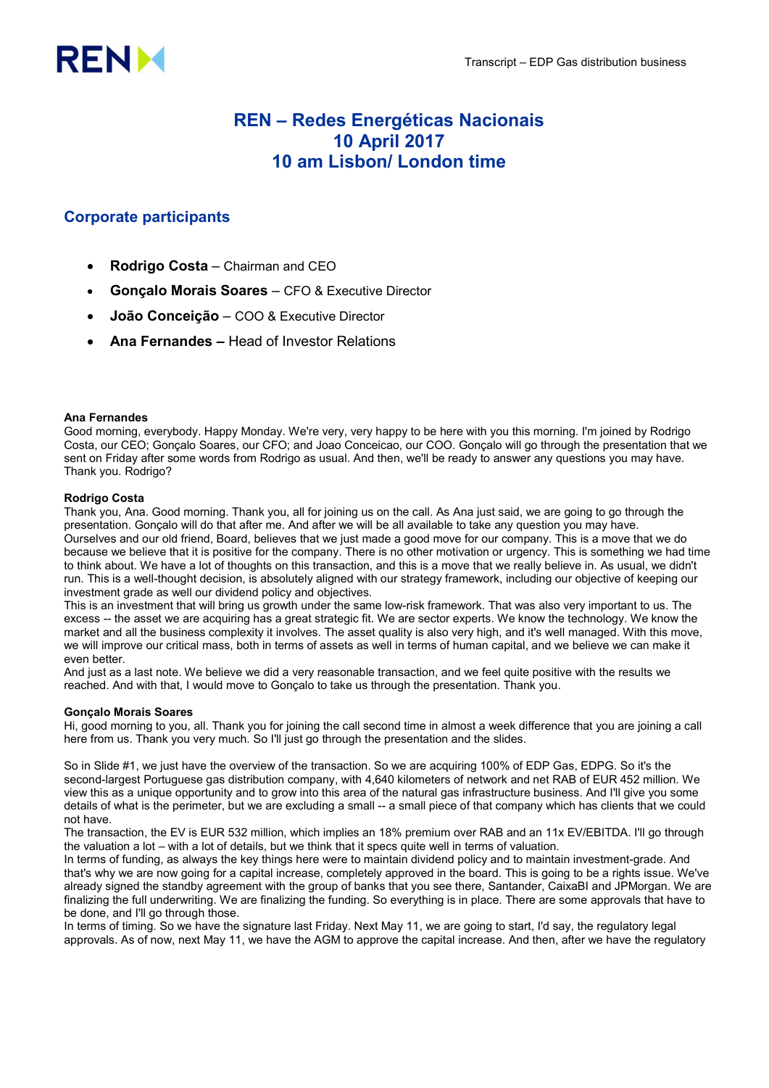

# REN – Redes Energéticas Nacionais 10 April 2017 10 am Lisbon/ London time

## Corporate participants

- Rodrigo Costa Chairman and CEO
- Gonçalo Morais Soares CFO & Executive Director
- João Conceição COO & Executive Director
- Ana Fernandes Head of Investor Relations

## Ana Fernandes

Good morning, everybody. Happy Monday. We're very, very happy to be here with you this morning. I'm joined by Rodrigo Costa, our CEO; Gonçalo Soares, our CFO; and Joao Conceicao, our COO. Gonçalo will go through the presentation that we sent on Friday after some words from Rodrigo as usual. And then, we'll be ready to answer any questions you may have. Thank you. Rodrigo?

## Rodrigo Costa

Thank you, Ana. Good morning. Thank you, all for joining us on the call. As Ana just said, we are going to go through the presentation. Gonçalo will do that after me. And after we will be all available to take any question you may have. Ourselves and our old friend, Board, believes that we just made a good move for our company. This is a move that we do because we believe that it is positive for the company. There is no other motivation or urgency. This is something we had time to think about. We have a lot of thoughts on this transaction, and this is a move that we really believe in. As usual, we didn't run. This is a well-thought decision, is absolutely aligned with our strategy framework, including our objective of keeping our investment grade as well our dividend policy and objectives.

This is an investment that will bring us growth under the same low-risk framework. That was also very important to us. The excess -- the asset we are acquiring has a great strategic fit. We are sector experts. We know the technology. We know the market and all the business complexity it involves. The asset quality is also very high, and it's well managed. With this move, we will improve our critical mass, both in terms of assets as well in terms of human capital, and we believe we can make it even better.

And just as a last note. We believe we did a very reasonable transaction, and we feel quite positive with the results we reached. And with that, I would move to Gonçalo to take us through the presentation. Thank you.

## Gonçalo Morais Soares

Hi, good morning to you, all. Thank you for joining the call second time in almost a week difference that you are joining a call here from us. Thank you very much. So I'll just go through the presentation and the slides.

So in Slide #1, we just have the overview of the transaction. So we are acquiring 100% of EDP Gas, EDPG. So it's the second-largest Portuguese gas distribution company, with 4,640 kilometers of network and net RAB of EUR 452 million. We view this as a unique opportunity and to grow into this area of the natural gas infrastructure business. And I'll give you some details of what is the perimeter, but we are excluding a small -- a small piece of that company which has clients that we could not have.

The transaction, the EV is EUR 532 million, which implies an 18% premium over RAB and an 11x EV/EBITDA. I'll go through the valuation a lot – with a lot of details, but we think that it specs quite well in terms of valuation.

In terms of funding, as always the key things here were to maintain dividend policy and to maintain investment-grade. And that's why we are now going for a capital increase, completely approved in the board. This is going to be a rights issue. We've already signed the standby agreement with the group of banks that you see there, Santander, CaixaBI and JPMorgan. We are finalizing the full underwriting. We are finalizing the funding. So everything is in place. There are some approvals that have to be done, and I'll go through those.

In terms of timing. So we have the signature last Friday. Next May 11, we are going to start, I'd say, the regulatory legal approvals. As of now, next May 11, we have the AGM to approve the capital increase. And then, after we have the regulatory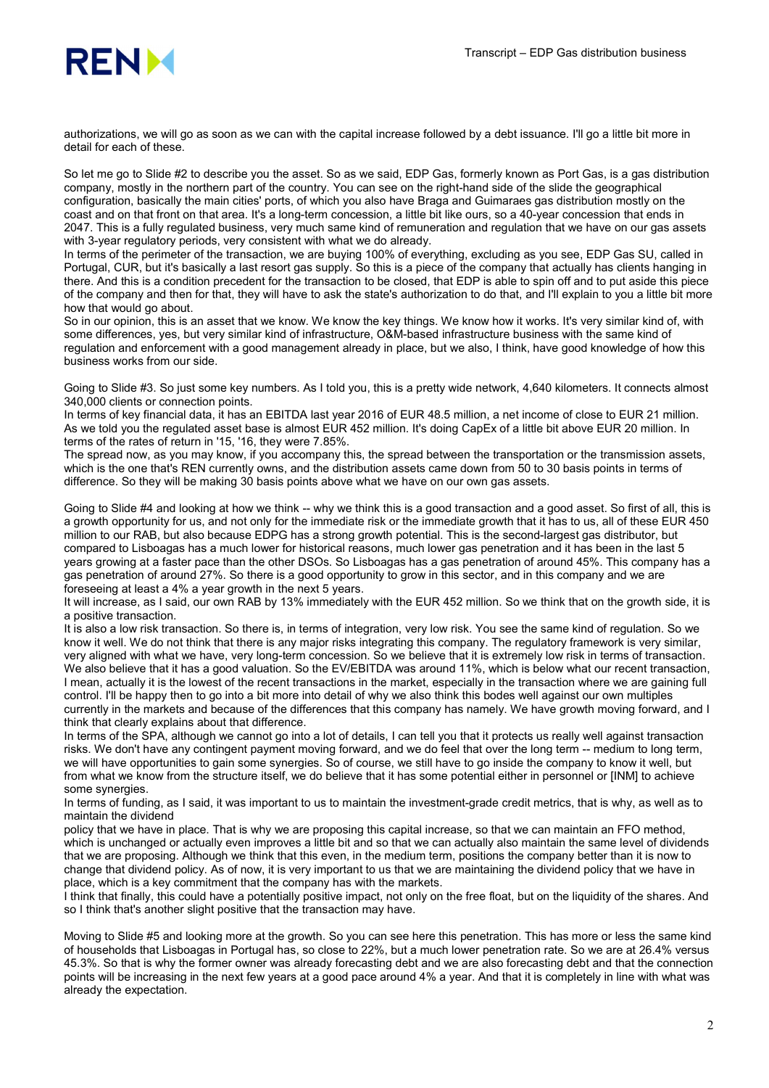

authorizations, we will go as soon as we can with the capital increase followed by a debt issuance. I'll go a little bit more in detail for each of these.

So let me go to Slide #2 to describe you the asset. So as we said, EDP Gas, formerly known as Port Gas, is a gas distribution company, mostly in the northern part of the country. You can see on the right-hand side of the slide the geographical configuration, basically the main cities' ports, of which you also have Braga and Guimaraes gas distribution mostly on the coast and on that front on that area. It's a long-term concession, a little bit like ours, so a 40-year concession that ends in 2047. This is a fully regulated business, very much same kind of remuneration and regulation that we have on our gas assets with 3-year regulatory periods, very consistent with what we do already.

In terms of the perimeter of the transaction, we are buying 100% of everything, excluding as you see, EDP Gas SU, called in Portugal, CUR, but it's basically a last resort gas supply. So this is a piece of the company that actually has clients hanging in there. And this is a condition precedent for the transaction to be closed, that EDP is able to spin off and to put aside this piece of the company and then for that, they will have to ask the state's authorization to do that, and I'll explain to you a little bit more how that would go about.

So in our opinion, this is an asset that we know. We know the key things. We know how it works. It's very similar kind of, with some differences, yes, but very similar kind of infrastructure, O&M-based infrastructure business with the same kind of regulation and enforcement with a good management already in place, but we also, I think, have good knowledge of how this business works from our side.

Going to Slide #3. So just some key numbers. As I told you, this is a pretty wide network, 4,640 kilometers. It connects almost 340,000 clients or connection points.

In terms of key financial data, it has an EBITDA last year 2016 of EUR 48.5 million, a net income of close to EUR 21 million. As we told you the regulated asset base is almost EUR 452 million. It's doing CapEx of a little bit above EUR 20 million. In terms of the rates of return in '15, '16, they were 7.85%.

The spread now, as you may know, if you accompany this, the spread between the transportation or the transmission assets, which is the one that's REN currently owns, and the distribution assets came down from 50 to 30 basis points in terms of difference. So they will be making 30 basis points above what we have on our own gas assets.

Going to Slide #4 and looking at how we think -- why we think this is a good transaction and a good asset. So first of all, this is a growth opportunity for us, and not only for the immediate risk or the immediate growth that it has to us, all of these EUR 450 million to our RAB, but also because EDPG has a strong growth potential. This is the second-largest gas distributor, but compared to Lisboagas has a much lower for historical reasons, much lower gas penetration and it has been in the last 5 years growing at a faster pace than the other DSOs. So Lisboagas has a gas penetration of around 45%. This company has a gas penetration of around 27%. So there is a good opportunity to grow in this sector, and in this company and we are foreseeing at least a 4% a year growth in the next 5 years.

It will increase, as I said, our own RAB by 13% immediately with the EUR 452 million. So we think that on the growth side, it is a positive transaction.

It is also a low risk transaction. So there is, in terms of integration, very low risk. You see the same kind of regulation. So we know it well. We do not think that there is any major risks integrating this company. The regulatory framework is very similar, very aligned with what we have, very long-term concession. So we believe that it is extremely low risk in terms of transaction. We also believe that it has a good valuation. So the EV/EBITDA was around 11%, which is below what our recent transaction, I mean, actually it is the lowest of the recent transactions in the market, especially in the transaction where we are gaining full control. I'll be happy then to go into a bit more into detail of why we also think this bodes well against our own multiples currently in the markets and because of the differences that this company has namely. We have growth moving forward, and I think that clearly explains about that difference.

In terms of the SPA, although we cannot go into a lot of details, I can tell you that it protects us really well against transaction risks. We don't have any contingent payment moving forward, and we do feel that over the long term -- medium to long term, we will have opportunities to gain some synergies. So of course, we still have to go inside the company to know it well, but from what we know from the structure itself, we do believe that it has some potential either in personnel or [INM] to achieve some synergies.

In terms of funding, as I said, it was important to us to maintain the investment-grade credit metrics, that is why, as well as to maintain the dividend

policy that we have in place. That is why we are proposing this capital increase, so that we can maintain an FFO method, which is unchanged or actually even improves a little bit and so that we can actually also maintain the same level of dividends that we are proposing. Although we think that this even, in the medium term, positions the company better than it is now to change that dividend policy. As of now, it is very important to us that we are maintaining the dividend policy that we have in place, which is a key commitment that the company has with the markets.

I think that finally, this could have a potentially positive impact, not only on the free float, but on the liquidity of the shares. And so I think that's another slight positive that the transaction may have.

Moving to Slide #5 and looking more at the growth. So you can see here this penetration. This has more or less the same kind of households that Lisboagas in Portugal has, so close to 22%, but a much lower penetration rate. So we are at 26.4% versus 45.3%. So that is why the former owner was already forecasting debt and we are also forecasting debt and that the connection points will be increasing in the next few years at a good pace around 4% a year. And that it is completely in line with what was already the expectation.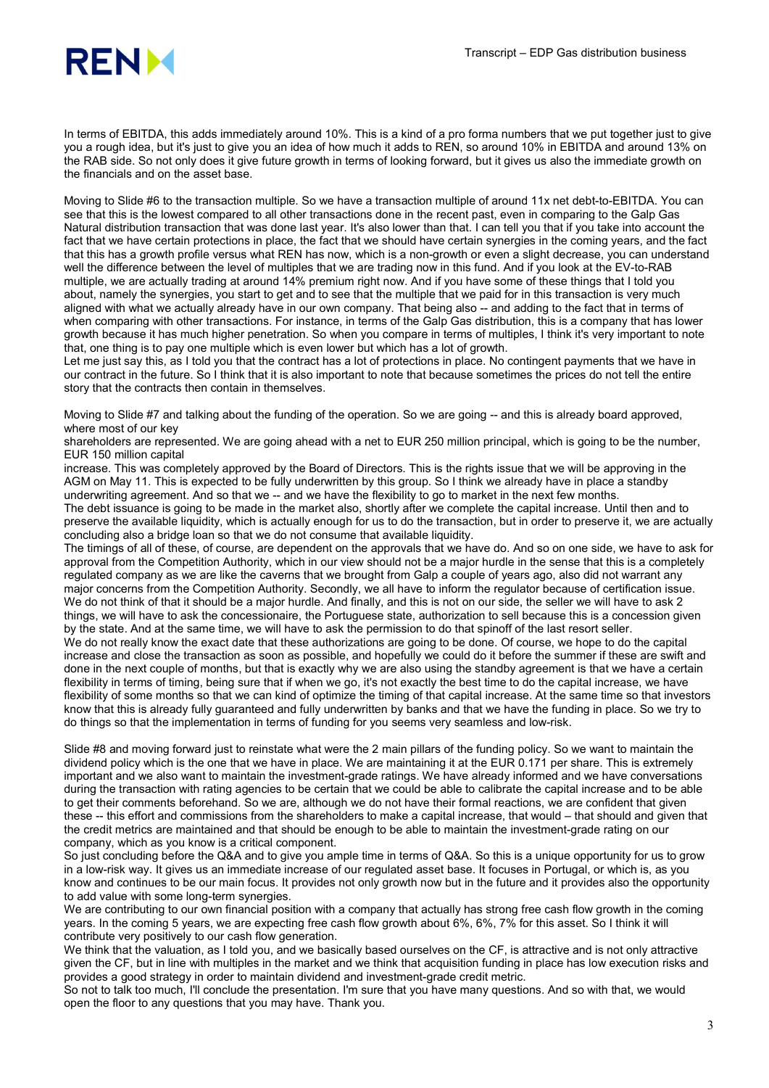

In terms of EBITDA, this adds immediately around 10%. This is a kind of a pro forma numbers that we put together just to give you a rough idea, but it's just to give you an idea of how much it adds to REN, so around 10% in EBITDA and around 13% on the RAB side. So not only does it give future growth in terms of looking forward, but it gives us also the immediate growth on the financials and on the asset base.

Moving to Slide #6 to the transaction multiple. So we have a transaction multiple of around 11x net debt-to-EBITDA. You can see that this is the lowest compared to all other transactions done in the recent past, even in comparing to the Galp Gas Natural distribution transaction that was done last year. It's also lower than that. I can tell you that if you take into account the fact that we have certain protections in place, the fact that we should have certain synergies in the coming years, and the fact that this has a growth profile versus what REN has now, which is a non-growth or even a slight decrease, you can understand well the difference between the level of multiples that we are trading now in this fund. And if you look at the EV-to-RAB multiple, we are actually trading at around 14% premium right now. And if you have some of these things that I told you about, namely the synergies, you start to get and to see that the multiple that we paid for in this transaction is very much aligned with what we actually already have in our own company. That being also -- and adding to the fact that in terms of when comparing with other transactions. For instance, in terms of the Galp Gas distribution, this is a company that has lower growth because it has much higher penetration. So when you compare in terms of multiples, I think it's very important to note that, one thing is to pay one multiple which is even lower but which has a lot of growth.

Let me just say this, as I told you that the contract has a lot of protections in place. No contingent payments that we have in our contract in the future. So I think that it is also important to note that because sometimes the prices do not tell the entire story that the contracts then contain in themselves.

Moving to Slide #7 and talking about the funding of the operation. So we are going -- and this is already board approved. where most of our key

shareholders are represented. We are going ahead with a net to EUR 250 million principal, which is going to be the number, EUR 150 million capital

increase. This was completely approved by the Board of Directors. This is the rights issue that we will be approving in the AGM on May 11. This is expected to be fully underwritten by this group. So I think we already have in place a standby underwriting agreement. And so that we -- and we have the flexibility to go to market in the next few months.

The debt issuance is going to be made in the market also, shortly after we complete the capital increase. Until then and to preserve the available liquidity, which is actually enough for us to do the transaction, but in order to preserve it, we are actually concluding also a bridge loan so that we do not consume that available liquidity.

The timings of all of these, of course, are dependent on the approvals that we have do. And so on one side, we have to ask for approval from the Competition Authority, which in our view should not be a major hurdle in the sense that this is a completely regulated company as we are like the caverns that we brought from Galp a couple of years ago, also did not warrant any major concerns from the Competition Authority. Secondly, we all have to inform the regulator because of certification issue. We do not think of that it should be a major hurdle. And finally, and this is not on our side, the seller we will have to ask 2 things, we will have to ask the concessionaire, the Portuguese state, authorization to sell because this is a concession given by the state. And at the same time, we will have to ask the permission to do that spinoff of the last resort seller. We do not really know the exact date that these authorizations are going to be done. Of course, we hope to do the capital increase and close the transaction as soon as possible, and hopefully we could do it before the summer if these are swift and done in the next couple of months, but that is exactly why we are also using the standby agreement is that we have a certain flexibility in terms of timing, being sure that if when we go, it's not exactly the best time to do the capital increase, we have flexibility of some months so that we can kind of optimize the timing of that capital increase. At the same time so that investors know that this is already fully guaranteed and fully underwritten by banks and that we have the funding in place. So we try to do things so that the implementation in terms of funding for you seems very seamless and low-risk.

Slide #8 and moving forward just to reinstate what were the 2 main pillars of the funding policy. So we want to maintain the dividend policy which is the one that we have in place. We are maintaining it at the EUR 0.171 per share. This is extremely important and we also want to maintain the investment-grade ratings. We have already informed and we have conversations during the transaction with rating agencies to be certain that we could be able to calibrate the capital increase and to be able to get their comments beforehand. So we are, although we do not have their formal reactions, we are confident that given these -- this effort and commissions from the shareholders to make a capital increase, that would – that should and given that the credit metrics are maintained and that should be enough to be able to maintain the investment-grade rating on our company, which as you know is a critical component.

So just concluding before the Q&A and to give you ample time in terms of Q&A. So this is a unique opportunity for us to grow in a low-risk way. It gives us an immediate increase of our regulated asset base. It focuses in Portugal, or which is, as you know and continues to be our main focus. It provides not only growth now but in the future and it provides also the opportunity to add value with some long-term synergies.

We are contributing to our own financial position with a company that actually has strong free cash flow growth in the coming years. In the coming 5 years, we are expecting free cash flow growth about 6%, 6%, 7% for this asset. So I think it will contribute very positively to our cash flow generation.

We think that the valuation, as I told you, and we basically based ourselves on the CF, is attractive and is not only attractive given the CF, but in line with multiples in the market and we think that acquisition funding in place has low execution risks and provides a good strategy in order to maintain dividend and investment-grade credit metric.

So not to talk too much, I'll conclude the presentation. I'm sure that you have many questions. And so with that, we would open the floor to any questions that you may have. Thank you.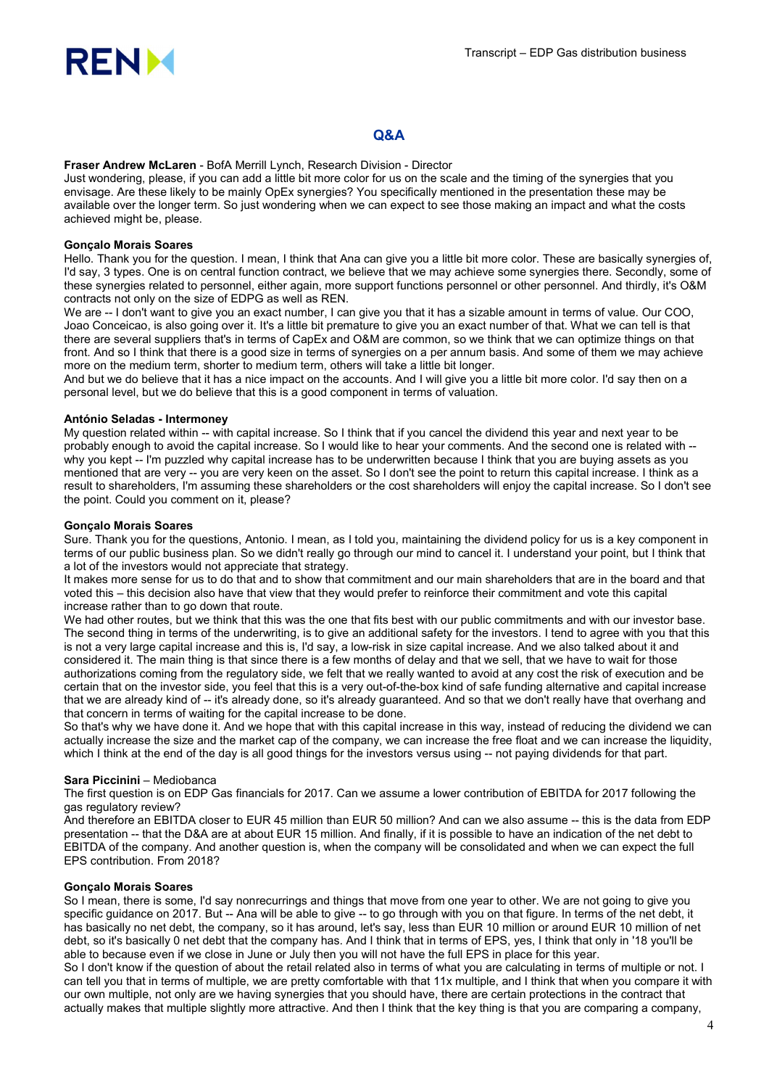

## Q&A

Fraser Andrew McLaren - BofA Merrill Lynch, Research Division - Director

Just wondering, please, if you can add a little bit more color for us on the scale and the timing of the synergies that you envisage. Are these likely to be mainly OpEx synergies? You specifically mentioned in the presentation these may be available over the longer term. So just wondering when we can expect to see those making an impact and what the costs achieved might be, please.

## Gonçalo Morais Soares

Hello. Thank you for the question. I mean, I think that Ana can give you a little bit more color. These are basically synergies of, I'd say, 3 types. One is on central function contract, we believe that we may achieve some synergies there. Secondly, some of these synergies related to personnel, either again, more support functions personnel or other personnel. And thirdly, it's O&M contracts not only on the size of EDPG as well as REN.

We are -- I don't want to give you an exact number, I can give you that it has a sizable amount in terms of value. Our COO, Joao Conceicao, is also going over it. It's a little bit premature to give you an exact number of that. What we can tell is that there are several suppliers that's in terms of CapEx and O&M are common, so we think that we can optimize things on that front. And so I think that there is a good size in terms of synergies on a per annum basis. And some of them we may achieve more on the medium term, shorter to medium term, others will take a little bit longer.

And but we do believe that it has a nice impact on the accounts. And I will give you a little bit more color. I'd say then on a personal level, but we do believe that this is a good component in terms of valuation.

#### António Seladas - Intermoney

My question related within -- with capital increase. So I think that if you cancel the dividend this year and next year to be probably enough to avoid the capital increase. So I would like to hear your comments. And the second one is related with - why you kept -- I'm puzzled why capital increase has to be underwritten because I think that you are buying assets as you mentioned that are very -- you are very keen on the asset. So I don't see the point to return this capital increase. I think as a result to shareholders, I'm assuming these shareholders or the cost shareholders will enjoy the capital increase. So I don't see the point. Could you comment on it, please?

## Gonçalo Morais Soares

Sure. Thank you for the questions, Antonio. I mean, as I told you, maintaining the dividend policy for us is a key component in terms of our public business plan. So we didn't really go through our mind to cancel it. I understand your point, but I think that a lot of the investors would not appreciate that strategy.

It makes more sense for us to do that and to show that commitment and our main shareholders that are in the board and that voted this – this decision also have that view that they would prefer to reinforce their commitment and vote this capital increase rather than to go down that route.

We had other routes, but we think that this was the one that fits best with our public commitments and with our investor base. The second thing in terms of the underwriting, is to give an additional safety for the investors. I tend to agree with you that this is not a very large capital increase and this is, I'd say, a low-risk in size capital increase. And we also talked about it and considered it. The main thing is that since there is a few months of delay and that we sell, that we have to wait for those authorizations coming from the regulatory side, we felt that we really wanted to avoid at any cost the risk of execution and be certain that on the investor side, you feel that this is a very out-of-the-box kind of safe funding alternative and capital increase that we are already kind of -- it's already done, so it's already guaranteed. And so that we don't really have that overhang and that concern in terms of waiting for the capital increase to be done.

So that's why we have done it. And we hope that with this capital increase in this way, instead of reducing the dividend we can actually increase the size and the market cap of the company, we can increase the free float and we can increase the liquidity, which I think at the end of the day is all good things for the investors versus using -- not paying dividends for that part.

## Sara Piccinini – Mediobanca

The first question is on EDP Gas financials for 2017. Can we assume a lower contribution of EBITDA for 2017 following the gas regulatory review?

And therefore an EBITDA closer to EUR 45 million than EUR 50 million? And can we also assume -- this is the data from EDP presentation -- that the D&A are at about EUR 15 million. And finally, if it is possible to have an indication of the net debt to EBITDA of the company. And another question is, when the company will be consolidated and when we can expect the full EPS contribution. From 2018?

#### Gonçalo Morais Soares

So I mean, there is some, I'd say nonrecurrings and things that move from one year to other. We are not going to give you specific guidance on 2017. But -- Ana will be able to give -- to go through with you on that figure. In terms of the net debt, it has basically no net debt, the company, so it has around, let's say, less than EUR 10 million or around EUR 10 million of net debt, so it's basically 0 net debt that the company has. And I think that in terms of EPS, yes, I think that only in '18 you'll be able to because even if we close in June or July then you will not have the full EPS in place for this year.

So I don't know if the question of about the retail related also in terms of what you are calculating in terms of multiple or not. I can tell you that in terms of multiple, we are pretty comfortable with that 11x multiple, and I think that when you compare it with our own multiple, not only are we having synergies that you should have, there are certain protections in the contract that actually makes that multiple slightly more attractive. And then I think that the key thing is that you are comparing a company,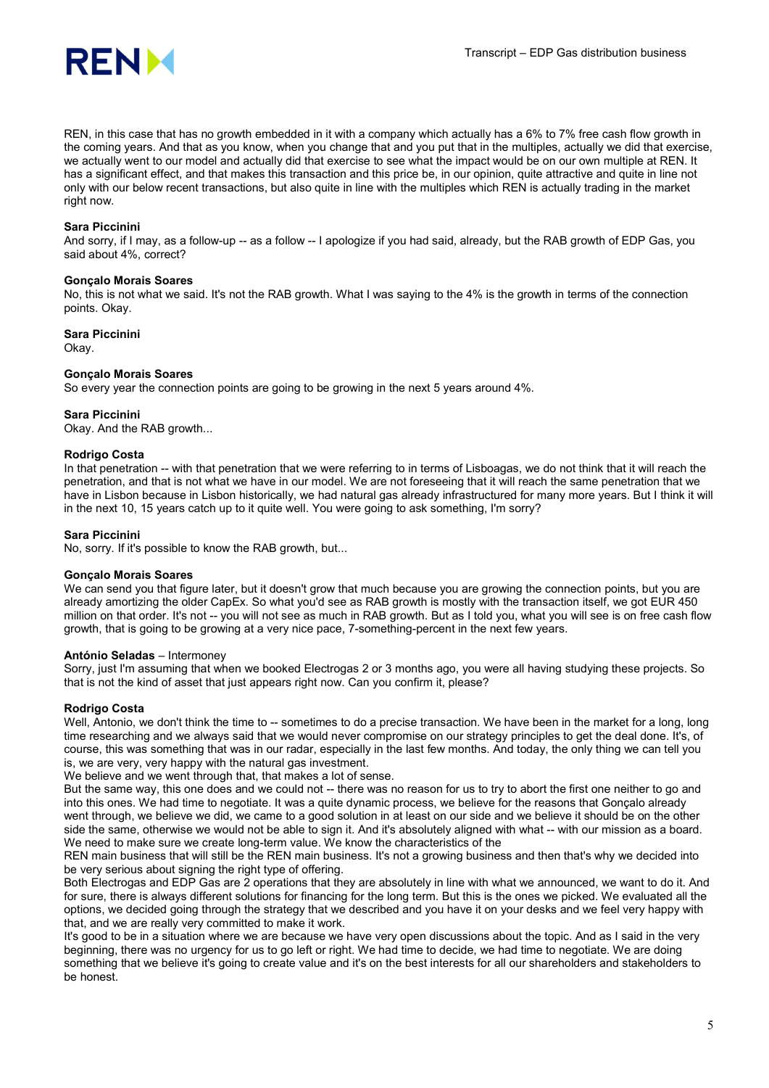

REN, in this case that has no growth embedded in it with a company which actually has a 6% to 7% free cash flow growth in the coming years. And that as you know, when you change that and you put that in the multiples, actually we did that exercise, we actually went to our model and actually did that exercise to see what the impact would be on our own multiple at REN. It has a significant effect, and that makes this transaction and this price be, in our opinion, quite attractive and quite in line not only with our below recent transactions, but also quite in line with the multiples which REN is actually trading in the market right now.

## Sara Piccinini

And sorry, if I may, as a follow-up -- as a follow -- I apologize if you had said, already, but the RAB growth of EDP Gas, you said about 4%, correct?

#### Gonçalo Morais Soares

No, this is not what we said. It's not the RAB growth. What I was saying to the 4% is the growth in terms of the connection points. Okay.

## Sara Piccinini

Okay.

#### Gonçalo Morais Soares

So every year the connection points are going to be growing in the next 5 years around 4%.

#### Sara Piccinini

Okay. And the RAB growth...

#### Rodrigo Costa

In that penetration -- with that penetration that we were referring to in terms of Lisboagas, we do not think that it will reach the penetration, and that is not what we have in our model. We are not foreseeing that it will reach the same penetration that we have in Lisbon because in Lisbon historically, we had natural gas already infrastructured for many more years. But I think it will in the next 10, 15 years catch up to it quite well. You were going to ask something, I'm sorry?

## Sara Piccinini

No, sorry. If it's possible to know the RAB growth, but...

#### Gonçalo Morais Soares

We can send you that figure later, but it doesn't grow that much because you are growing the connection points, but you are already amortizing the older CapEx. So what you'd see as RAB growth is mostly with the transaction itself, we got EUR 450 million on that order. It's not -- you will not see as much in RAB growth. But as I told you, what you will see is on free cash flow growth, that is going to be growing at a very nice pace, 7-something-percent in the next few years.

#### António Seladas – Intermoney

Sorry, just I'm assuming that when we booked Electrogas 2 or 3 months ago, you were all having studying these projects. So that is not the kind of asset that just appears right now. Can you confirm it, please?

#### Rodrigo Costa

Well, Antonio, we don't think the time to -- sometimes to do a precise transaction. We have been in the market for a long, long time researching and we always said that we would never compromise on our strategy principles to get the deal done. It's, of course, this was something that was in our radar, especially in the last few months. And today, the only thing we can tell you is, we are very, very happy with the natural gas investment.

We believe and we went through that, that makes a lot of sense.

But the same way, this one does and we could not -- there was no reason for us to try to abort the first one neither to go and into this ones. We had time to negotiate. It was a quite dynamic process, we believe for the reasons that Gonçalo already went through, we believe we did, we came to a good solution in at least on our side and we believe it should be on the other side the same, otherwise we would not be able to sign it. And it's absolutely aligned with what -- with our mission as a board. We need to make sure we create long-term value. We know the characteristics of the

REN main business that will still be the REN main business. It's not a growing business and then that's why we decided into be very serious about signing the right type of offering.

Both Electrogas and EDP Gas are 2 operations that they are absolutely in line with what we announced, we want to do it. And for sure, there is always different solutions for financing for the long term. But this is the ones we picked. We evaluated all the options, we decided going through the strategy that we described and you have it on your desks and we feel very happy with that, and we are really very committed to make it work.

It's good to be in a situation where we are because we have very open discussions about the topic. And as I said in the very beginning, there was no urgency for us to go left or right. We had time to decide, we had time to negotiate. We are doing something that we believe it's going to create value and it's on the best interests for all our shareholders and stakeholders to be honest.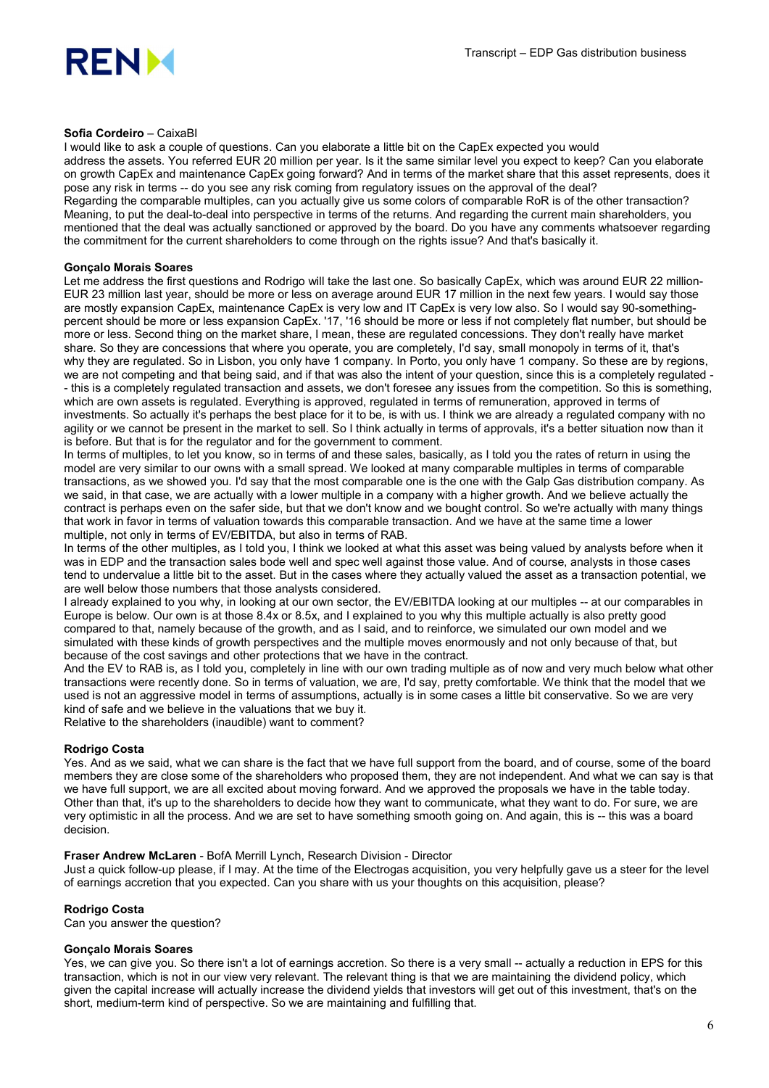

## Sofia Cordeiro – CaixaBI

I would like to ask a couple of questions. Can you elaborate a little bit on the CapEx expected you would address the assets. You referred EUR 20 million per year. Is it the same similar level you expect to keep? Can you elaborate on growth CapEx and maintenance CapEx going forward? And in terms of the market share that this asset represents, does it pose any risk in terms -- do you see any risk coming from regulatory issues on the approval of the deal? Regarding the comparable multiples, can you actually give us some colors of comparable RoR is of the other transaction? Meaning, to put the deal-to-deal into perspective in terms of the returns. And regarding the current main shareholders, you mentioned that the deal was actually sanctioned or approved by the board. Do you have any comments whatsoever regarding the commitment for the current shareholders to come through on the rights issue? And that's basically it.

## Gonçalo Morais Soares

Let me address the first questions and Rodrigo will take the last one. So basically CapEx, which was around EUR 22 million-EUR 23 million last year, should be more or less on average around EUR 17 million in the next few years. I would say those are mostly expansion CapEx, maintenance CapEx is very low and IT CapEx is very low also. So I would say 90-somethingpercent should be more or less expansion CapEx. '17, '16 should be more or less if not completely flat number, but should be more or less. Second thing on the market share, I mean, these are regulated concessions. They don't really have market share. So they are concessions that where you operate, you are completely, I'd say, small monopoly in terms of it, that's why they are regulated. So in Lisbon, you only have 1 company. In Porto, you only have 1 company. So these are by regions, we are not competing and that being said, and if that was also the intent of your question, since this is a completely regulated - - this is a completely regulated transaction and assets, we don't foresee any issues from the competition. So this is something, which are own assets is regulated. Everything is approved, regulated in terms of remuneration, approved in terms of investments. So actually it's perhaps the best place for it to be, is with us. I think we are already a regulated company with no agility or we cannot be present in the market to sell. So I think actually in terms of approvals, it's a better situation now than it is before. But that is for the regulator and for the government to comment.

In terms of multiples, to let you know, so in terms of and these sales, basically, as I told you the rates of return in using the model are very similar to our owns with a small spread. We looked at many comparable multiples in terms of comparable transactions, as we showed you. I'd say that the most comparable one is the one with the Galp Gas distribution company. As we said, in that case, we are actually with a lower multiple in a company with a higher growth. And we believe actually the contract is perhaps even on the safer side, but that we don't know and we bought control. So we're actually with many things that work in favor in terms of valuation towards this comparable transaction. And we have at the same time a lower multiple, not only in terms of EV/EBITDA, but also in terms of RAB.

In terms of the other multiples, as I told you, I think we looked at what this asset was being valued by analysts before when it was in EDP and the transaction sales bode well and spec well against those value. And of course, analysts in those cases tend to undervalue a little bit to the asset. But in the cases where they actually valued the asset as a transaction potential, we are well below those numbers that those analysts considered.

I already explained to you why, in looking at our own sector, the EV/EBITDA looking at our multiples -- at our comparables in Europe is below. Our own is at those 8.4x or 8.5x, and I explained to you why this multiple actually is also pretty good compared to that, namely because of the growth, and as I said, and to reinforce, we simulated our own model and we simulated with these kinds of growth perspectives and the multiple moves enormously and not only because of that, but because of the cost savings and other protections that we have in the contract.

And the EV to RAB is, as I told you, completely in line with our own trading multiple as of now and very much below what other transactions were recently done. So in terms of valuation, we are, I'd say, pretty comfortable. We think that the model that we used is not an aggressive model in terms of assumptions, actually is in some cases a little bit conservative. So we are very kind of safe and we believe in the valuations that we buy it.

Relative to the shareholders (inaudible) want to comment?

## Rodrigo Costa

Yes. And as we said, what we can share is the fact that we have full support from the board, and of course, some of the board members they are close some of the shareholders who proposed them, they are not independent. And what we can say is that we have full support, we are all excited about moving forward. And we approved the proposals we have in the table today. Other than that, it's up to the shareholders to decide how they want to communicate, what they want to do. For sure, we are very optimistic in all the process. And we are set to have something smooth going on. And again, this is -- this was a board decision.

## Fraser Andrew McLaren - BofA Merrill Lynch, Research Division - Director

Just a quick follow-up please, if I may. At the time of the Electrogas acquisition, you very helpfully gave us a steer for the level of earnings accretion that you expected. Can you share with us your thoughts on this acquisition, please?

## Rodrigo Costa

Can you answer the question?

## Gonçalo Morais Soares

Yes, we can give you. So there isn't a lot of earnings accretion. So there is a very small -- actually a reduction in EPS for this transaction, which is not in our view very relevant. The relevant thing is that we are maintaining the dividend policy, which given the capital increase will actually increase the dividend yields that investors will get out of this investment, that's on the short, medium-term kind of perspective. So we are maintaining and fulfilling that.